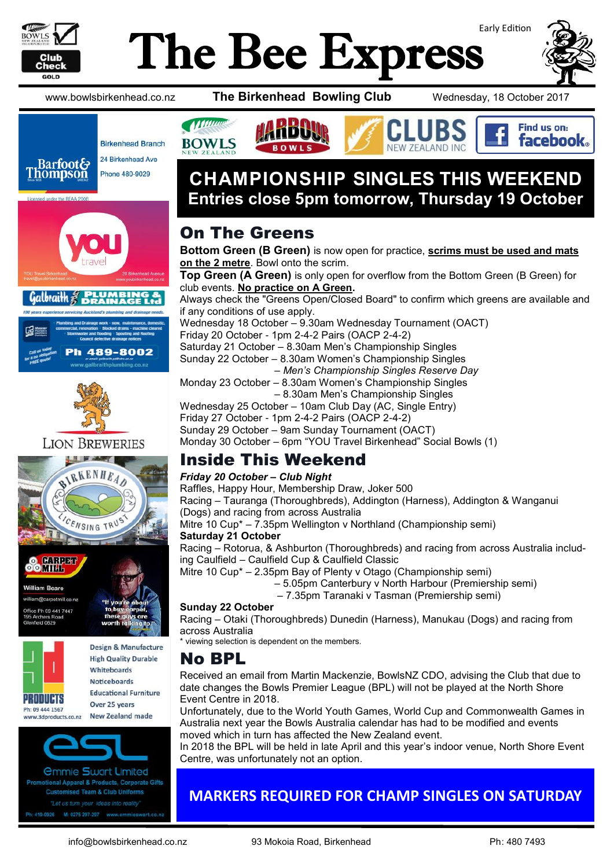

# Early Edition The Bee Express



Find us on: facebook.

www.bowlsbirkenhead.co.nz **The Birkenhead Bowling Club** Wednesday, 18 October 2017





h 489-8002









Ph: 09 444 1567 **New Zealand made** ww.3dproducts.co.nz



*<u>Ommie Swart Limited</u>* tional Apparel & Products, Corporate Gifts **Customised Team & Club Uniforms** "Let us turn your ideas into reality 419-0926 M: 0275 297-297 www.en

# **All Manuel BOWLS**

# **CHAMPIONSHIP SINGLES THIS WEEKEND Entries close 5pm tomorrow, Thursday 19 October**

# On The Greens

**Bottom Green (B Green)** is now open for practice, **scrims must be used and mats on the 2 metre**. Bowl onto the scrim. **Top Green (A Green)** is only open for overflow from the Bottom Green (B Green) for

club events. **No practice on A Green.** Always check the "Greens Open/Closed Board" to confirm which greens are available and if any conditions of use apply. Wednesday 18 October – 9.30am Wednesday Tournament (OACT) Friday 20 October - 1pm 2-4-2 Pairs (OACP 2-4-2) Saturday 21 October – 8.30am Men's Championship Singles Sunday 22 October – 8.30am Women's Championship Singles – *Men's Championship Singles Reserve Day* Monday 23 October – 8.30am Women's Championship Singles – 8.30am Men's Championship Singles Wednesday 25 October – 10am Club Day (AC, Single Entry) Friday 27 October - 1pm 2-4-2 Pairs (OACP 2-4-2) Sunday 29 October – 9am Sunday Tournament (OACT) Monday 30 October – 6pm "YOU Travel Birkenhead" Social Bowls (1)

# Inside This Weekend

#### *Friday 20 October – Club Night*

Raffles, Happy Hour, Membership Draw, Joker 500 Racing – Tauranga (Thoroughbreds), Addington (Harness), Addington & Wanganui (Dogs) and racing from across Australia Mitre 10 Cup\* – 7.35pm Wellington v Northland (Championship semi) **Saturday 21 October**  Racing – Rotorua, & Ashburton (Thoroughbreds) and racing from across Australia including Caulfield – Caulfield Cup & Caulfield Classic

Mitre 10 Cup\* – 2.35pm Bay of Plenty v Otago (Championship semi)

- 5.05pm Canterbury v North Harbour (Premiership semi)
- 7.35pm Taranaki v Tasman (Premiership semi)

#### **Sunday 22 October**

Racing – Otaki (Thoroughbreds) Dunedin (Harness), Manukau (Dogs) and racing from across Australia

\* viewing selection is dependent on the members.

### No BPL

Received an email from Martin Mackenzie, BowlsNZ CDO, advising the Club that due to date changes the Bowls Premier League (BPL) will not be played at the North Shore Event Centre in 2018.

Unfortunately, due to the World Youth Games, World Cup and Commonwealth Games in Australia next year the Bowls Australia calendar has had to be modified and events moved which in turn has affected the New Zealand event.

In 2018 the BPL will be held in late April and this year's indoor venue, North Shore Event Centre, was unfortunately not an option.

## **MARKERS REQUIRED FOR CHAMP SINGLES ON SATURDAY**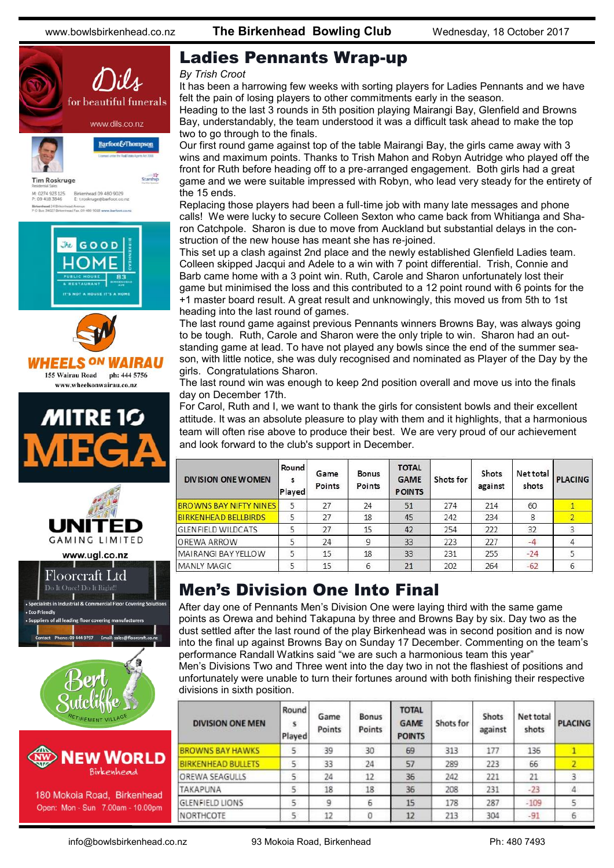

180 Mokoia Road, Birkenhead Open: Mon - Sun 7.00am - 10.00pm

### Ladies Pennants Wrap-up

#### *By Trish Croot*

It has been a harrowing few weeks with sorting players for Ladies Pennants and we have felt the pain of losing players to other commitments early in the season.

Heading to the last 3 rounds in 5th position playing Mairangi Bay, Glenfield and Browns Bay, understandably, the team understood it was a difficult task ahead to make the top two to go through to the finals.

Our first round game against top of the table Mairangi Bay, the girls came away with 3 wins and maximum points. Thanks to Trish Mahon and Robyn Autridge who played off the front for Ruth before heading off to a pre-arranged engagement. Both girls had a great game and we were suitable impressed with Robyn, who lead very steady for the entirety of the 15 ends.

Replacing those players had been a full-time job with many late messages and phone calls! We were lucky to secure Colleen Sexton who came back from Whitianga and Sharon Catchpole. Sharon is due to move from Auckland but substantial delays in the construction of the new house has meant she has re-joined.

This set up a clash against 2nd place and the newly established Glenfield Ladies team. Colleen skipped Jacqui and Adele to a win with 7 point differential. Trish, Connie and Barb came home with a 3 point win. Ruth, Carole and Sharon unfortunately lost their game but minimised the loss and this contributed to a 12 point round with 6 points for the +1 master board result. A great result and unknowingly, this moved us from 5th to 1st heading into the last round of games.

The last round game against previous Pennants winners Browns Bay, was always going to be tough. Ruth, Carole and Sharon were the only triple to win. Sharon had an outstanding game at lead. To have not played any bowls since the end of the summer season, with little notice, she was duly recognised and nominated as Player of the Day by the girls. Congratulations Sharon.

The last round win was enough to keep 2nd position overall and move us into the finals day on December 17th.

For Carol, Ruth and I, we want to thank the girls for consistent bowls and their excellent attitude. It was an absolute pleasure to play with them and it highlights, that a harmonious team will often rise above to produce their best. We are very proud of our achievement and look forward to the club's support in December.

| <b>DIVISION ONE WOMEN</b>     | Round<br>s<br>Played | Game<br>Points | <b>Bonus</b><br>Points | <b>TOTAL</b><br><b>GAME</b><br><b>POINTS</b> | Shots for | Shots<br>against | Net total<br>shots | <b>PLACING</b> |
|-------------------------------|----------------------|----------------|------------------------|----------------------------------------------|-----------|------------------|--------------------|----------------|
| <b>BROWNS BAY NIFTY NINES</b> | 5                    | 27             | 24                     | 51                                           | 274       | 214              | 60                 |                |
| <b>BIRKENHEAD BELLBIRDS</b>   | 5                    | 27             | 18                     | 45                                           | 242       | 234              | 8                  |                |
| <b>GLENFIELD WILDCATS</b>     | 5                    | 27             | 15                     | 42                                           | 254       | 222              | 32                 | 3              |
| <b>OREWA ARROW</b>            | 5                    | 24             | 9                      | 33                                           | 223       | 227              | $-4$               |                |
| MAIRANGI BAYYELLOW            | 5                    | 15             | 18                     | 33                                           | 231       | 255              | $-24$              | 5              |
| MANLY MAGIC                   | 5                    | 15             | 6                      | 21                                           | 202       | 264              | $-62$              | 6              |

## Men's Division One Into Final

After day one of Pennants Men's Division One were laying third with the same game points as Orewa and behind Takapuna by three and Browns Bay by six. Day two as the dust settled after the last round of the play Birkenhead was in second position and is now into the final up against Browns Bay on Sunday 17 December. Commenting on the team's performance Randall Watkins said "we are such a harmonious team this year"

Men's Divisions Two and Three went into the day two in not the flashiest of positions and unfortunately were unable to turn their fortunes around with both finishing their respective divisions in sixth position.

| <b>DIVISION ONE MEN</b>   | Round<br>s<br>Played | Game<br>Points | Bonus<br>Points | <b>TOTAL</b><br><b>GAME</b><br><b>POINTS</b> | Shots for | Shots<br>against | Net total<br>shots | <b>PLACING</b> |
|---------------------------|----------------------|----------------|-----------------|----------------------------------------------|-----------|------------------|--------------------|----------------|
| <b>BROWNS BAY HAWKS</b>   | 5                    | 39             | 30              | 69                                           | 313       | 177              | 136                |                |
| <b>BIRKENHEAD BULLETS</b> | 5                    | 33             | 24              | 57                                           | 289       | 223              | 66                 |                |
| OREWA SEAGULLS            | 5                    | 24             | 12              | 36                                           | 242       | 221              | 21                 |                |
| TAKAPUNA                  | 5                    | 18             | 18              | 36                                           | 208       | 231              | $-23$              | $\overline{4}$ |
| <b>GLENFIELD LIONS</b>    | 5                    | 9              | 6               | 15                                           | 178       | 287              | $-109$             |                |
| NORTHCOTE                 | 5                    | 12             | 0               | 12                                           | 213       | 304              | $-91$              | 6              |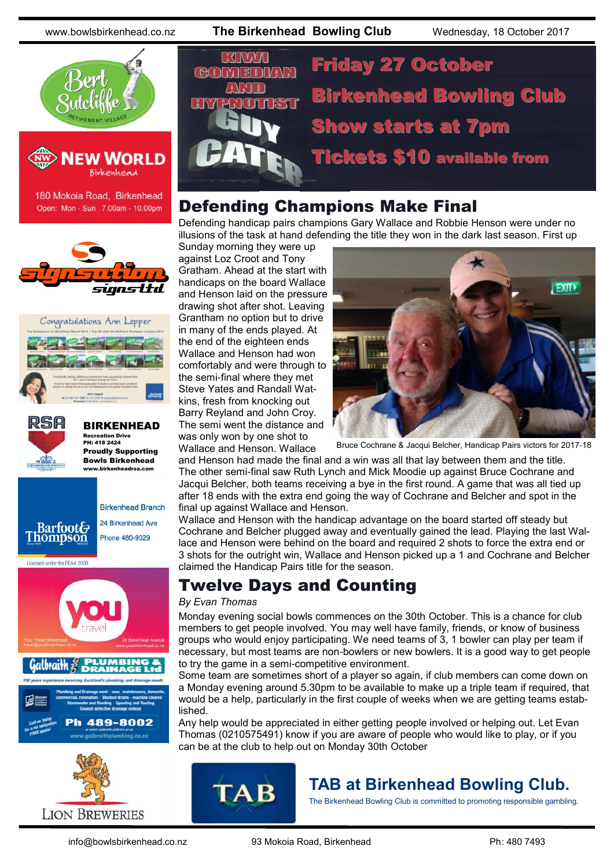



180 Mokoia Road, Birkenhead Open: Mon - Sun 7.00am - 10.00pm







BIRKENHEAD Recreation Drive PH: 418 2424 Proudly Supporting Bowls Birkenhead

www.birkenheadrsa.com







# Friday 27 October CHONT Birkenhead Bowling Club Show starts at 7pm Tickets \$10 available from

### Defending Champions Make Final

Defending handicap pairs champions Gary Wallace and Robbie Henson were under no illusions of the task at hand defending the title they won in the dark last season. First up

Sunday morning they were up against Loz Croot and Tony Gratham. Ahead at the start with handicaps on the board Wallace and Henson laid on the pressure drawing shot after shot. Leaving Grantham no option but to drive in many of the ends played. At the end of the eighteen ends Wallace and Henson had won comfortably and were through to the semi-final where they met Steve Yates and Randall Watkins, fresh from knocking out Barry Reyland and John Croy. The semi went the distance and was only won by one shot to Wallace and Henson. Wallace



Bruce Cochrane & Jacqui Belcher, Handicap Pairs victors for 2017-18

and Henson had made the final and a win was all that lay between them and the title. The other semi-final saw Ruth Lynch and Mick Moodie up against Bruce Cochrane and Jacqui Belcher, both teams receiving a bye in the first round. A game that was all tied up after 18 ends with the extra end going the way of Cochrane and Belcher and spot in the final up against Wallace and Henson.

Wallace and Henson with the handicap advantage on the board started off steady but Cochrane and Belcher plugged away and eventually gained the lead. Playing the last Wallace and Henson were behind on the board and required 2 shots to force the extra end or 3 shots for the outright win, Wallace and Henson picked up a 1 and Cochrane and Belcher claimed the Handicap Pairs title for the season.

## Twelve Days and Counting

#### *By Evan Thomas*

Monday evening social bowls commences on the 30th October. This is a chance for club members to get people involved. You may well have family, friends, or know of business groups who would enjoy participating. We need teams of 3, 1 bowler can play per team if necessary, but most teams are non-bowlers or new bowlers. It is a good way to get people to try the game in a semi-competitive environment.

Some team are sometimes short of a player so again, if club members can come down on a Monday evening around 5.30pm to be available to make up a triple team if required, that would be a help, particularly in the first couple of weeks when we are getting teams established.

Any help would be appreciated in either getting people involved or helping out. Let Evan Thomas [\(0210575491\)](tel:0210%20575%20491) know if you are aware of people who would like to play, or if you can be at the club to help out on Monday 30th October



## **TAB at Birkenhead Bowling Club.**

The Birkenhead Bowling Club is committed to promoting responsible gambling.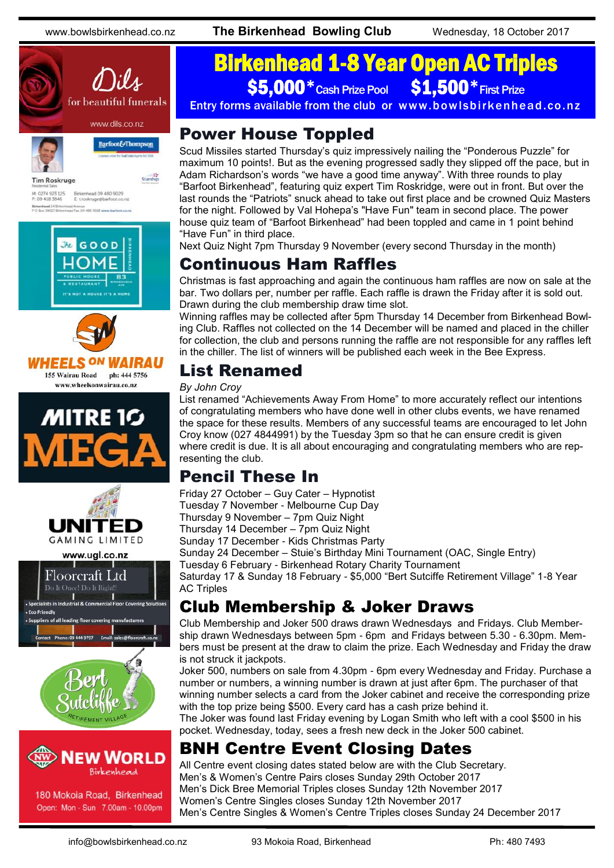

Birkenhead 09 480 9029<br>E: t.roskruge@barfoot.co M: 0274 923 125<br>P: 09 418 3846 Birkenhead 24 Brite<br>P O Box 34027 Birke









www.ugl.co.nz





180 Mokoia Road, Birkenhead Open: Mon - Sun 7.00am - 10.00pm

# Birkenhead 1-8 Year Open AC Triples \$5,000 \* Cash Prize Pool \$1,500 \* First Prize

Entry forms available from the club or www.bowlsbirkenhead.co.nz

# Power House Toppled

Scud Missiles started Thursday's quiz impressively nailing the "Ponderous Puzzle" for maximum 10 points!. But as the evening progressed sadly they slipped off the pace, but in Adam Richardson's words "we have a good time anyway". With three rounds to play "Barfoot Birkenhead", featuring quiz expert Tim Roskridge, were out in front. But over the last rounds the "Patriots" snuck ahead to take out first place and be crowned Quiz Masters for the night. Followed by Val Hohepa's "Have Fun" team in second place. The power house quiz team of "Barfoot Birkenhead" had been toppled and came in 1 point behind "Have Fun" in third place.

Next Quiz Night 7pm Thursday 9 November (every second Thursday in the month)

# Continuous Ham Raffles

Christmas is fast approaching and again the continuous ham raffles are now on sale at the bar. Two dollars per, number per raffle. Each raffle is drawn the Friday after it is sold out. Drawn during the club membership draw time slot.

Winning raffles may be collected after 5pm Thursday 14 December from Birkenhead Bowling Club. Raffles not collected on the 14 December will be named and placed in the chiller for collection, the club and persons running the raffle are not responsible for any raffles left in the chiller. The list of winners will be published each week in the Bee Express.

# List Renamed

#### *By John Croy*

List renamed "Achievements Away From Home" to more accurately reflect our intentions of congratulating members who have done well in other clubs events, we have renamed the space for these results. Members of any successful teams are encouraged to let John Croy know (027 4844991) by the Tuesday 3pm so that he can ensure credit is given where credit is due. It is all about encouraging and congratulating members who are representing the club.

## Pencil These In

Friday 27 October – Guy Cater – Hypnotist

Tuesday 7 November - Melbourne Cup Day

Thursday 9 November – 7pm Quiz Night

Thursday 14 December – 7pm Quiz Night

Sunday 17 December - Kids Christmas Party

Sunday 24 December – Stuie's Birthday Mini Tournament (OAC, Single Entry)

Tuesday 6 February - Birkenhead Rotary Charity Tournament

Saturday 17 & Sunday 18 February - \$5,000 "Bert Sutciffe Retirement Village" 1-8 Year AC Triples

# Club Membership & Joker Draws

Club Membership and Joker 500 draws drawn Wednesdays and Fridays. Club Membership drawn Wednesdays between 5pm - 6pm and Fridays between 5.30 - 6.30pm. Members must be present at the draw to claim the prize. Each Wednesday and Friday the draw is not struck it jackpots.

Joker 500, numbers on sale from 4.30pm - 6pm every Wednesday and Friday. Purchase a number or numbers, a winning number is drawn at just after 6pm. The purchaser of that winning number selects a card from the Joker cabinet and receive the corresponding prize with the top prize being \$500. Every card has a cash prize behind it.

The Joker was found last Friday evening by Logan Smith who left with a cool \$500 in his pocket. Wednesday, today, sees a fresh new deck in the Joker 500 cabinet.

# BNH Centre Event Closing Dates

All Centre event closing dates stated below are with the Club Secretary. Men's & Women's Centre Pairs closes Sunday 29th October 2017 Men's Dick Bree Memorial Triples closes Sunday 12th November 2017 Women's Centre Singles closes Sunday 12th November 2017 Men's Centre Singles & Women's Centre Triples closes Sunday 24 December 2017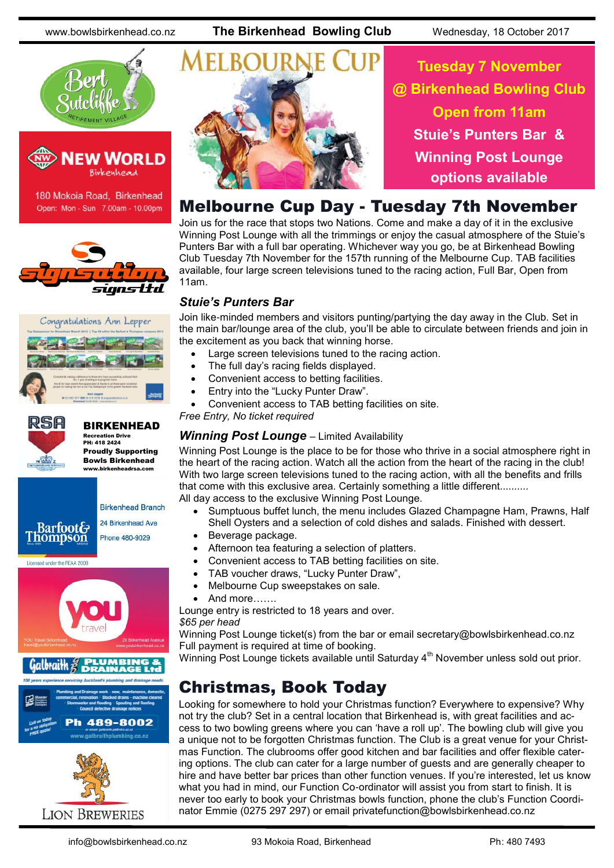



180 Mokoia Road, Birkenhead Open: Mon - Sun 7.00am - 10.00pm







#### BIRKENHEAD Recreation Drive

PH: 418 2424 Proudly Supporting Bowls Birkenhead www.birkenheadrsa.com







**Tuesday 7 November @ Birkenhead Bowling Club Open from 11am Stuie's Punters Bar & Winning Post Lounge options available**

### Melbourne Cup Day - Tuesday 7th November

Join us for the race that stops two Nations. Come and make a day of it in the exclusive Winning Post Lounge with all the trimmings or enjoy the casual atmosphere of the Stuie's Punters Bar with a full bar operating. Whichever way you go, be at Birkenhead Bowling Club Tuesday 7th November for the 157th running of the Melbourne Cup. TAB facilities available, four large screen televisions tuned to the racing action, Full Bar, Open from 11am.

#### *Stuie's Punters Bar*

Join like-minded members and visitors punting/partying the day away in the Club. Set in the main bar/lounge area of the club, you'll be able to circulate between friends and join in the excitement as you back that winning horse.

- Large screen televisions tuned to the racing action.
- The full day's racing fields displayed.
- Convenient access to betting facilities.
- Entry into the "Lucky Punter Draw".
- Convenient access to TAB betting facilities on site.

*Free Entry, No ticket required*

#### *Winning Post Lounge – Limited Availability*

Winning Post Lounge is the place to be for those who thrive in a social atmosphere right in the heart of the racing action. Watch all the action from the heart of the racing in the club! With two large screen televisions tuned to the racing action, with all the benefits and frills that come with this exclusive area. Certainly something a little different.......... All day access to the exclusive Winning Post Lounge.

- Sumptuous buffet lunch, the menu includes Glazed Champagne Ham, Prawns, Half Shell Oysters and a selection of cold dishes and salads. Finished with dessert.
- Beverage package.
- Afternoon tea featuring a selection of platters.
- Convenient access to TAB betting facilities on site.
- TAB voucher draws, "Lucky Punter Draw",
- Melbourne Cup sweepstakes on sale.
- And more…….

Lounge entry is restricted to 18 years and over. *\$65 per head*

Winning Post Lounge ticket(s) from the bar or email [secretary@bowlsbirkenhead.co.nz](mailto:secretary@bowlsbirkenhead.co.nz) Full payment is required at time of booking.

Winning Post Lounge tickets available until Saturday 4<sup>th</sup> November unless sold out prior.

### Christmas, Book Today

Looking for somewhere to hold your Christmas function? Everywhere to expensive? Why not try the club? Set in a central location that Birkenhead is, with great facilities and access to two bowling greens where you can 'have a roll up'. The bowling club will give you a unique not to be forgotten Christmas function. The Club is a great venue for your Christmas Function. The clubrooms offer good kitchen and bar facilities and offer flexible catering options. The club can cater for a large number of guests and are generally cheaper to hire and have better bar prices than other function venues. If you're interested, let us know what you had in mind, our Function Co-ordinator will assist you from start to finish. It is never too early to book your Christmas bowls function, phone the club's Function Coordinator Emmie (0275 297 297) or email [privatefunction@bowlsbirkenhead.co.nz](mailto:privatefunction@bowlsbirkenhead.co.nz)